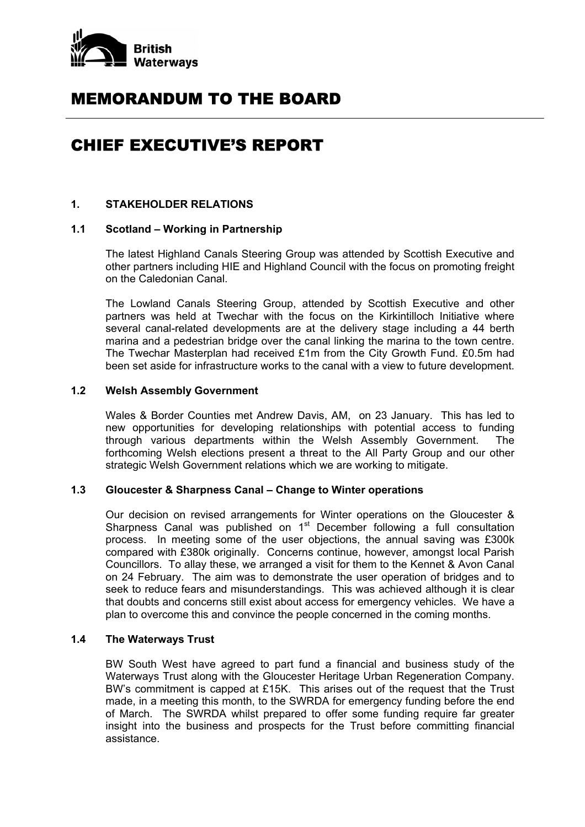

# MEMORANDUM TO THE BOARD

# CHIEF EXECUTIVE'S REPORT

# **1. STAKEHOLDER RELATIONS**

#### **1.1 Scotland – Working in Partnership**

 The latest Highland Canals Steering Group was attended by Scottish Executive and other partners including HIE and Highland Council with the focus on promoting freight on the Caledonian Canal.

 The Lowland Canals Steering Group, attended by Scottish Executive and other partners was held at Twechar with the focus on the Kirkintilloch Initiative where several canal-related developments are at the delivery stage including a 44 berth marina and a pedestrian bridge over the canal linking the marina to the town centre. The Twechar Masterplan had received £1m from the City Growth Fund. £0.5m had been set aside for infrastructure works to the canal with a view to future development.

#### **1.2 Welsh Assembly Government**

Wales & Border Counties met Andrew Davis, AM, on 23 January. This has led to new opportunities for developing relationships with potential access to funding through various departments within the Welsh Assembly Government. The forthcoming Welsh elections present a threat to the All Party Group and our other strategic Welsh Government relations which we are working to mitigate.

# **1.3 Gloucester & Sharpness Canal – Change to Winter operations**

 Our decision on revised arrangements for Winter operations on the Gloucester & Sharpness Canal was published on  $1<sup>st</sup>$  December following a full consultation process. In meeting some of the user objections, the annual saving was £300k compared with £380k originally. Concerns continue, however, amongst local Parish Councillors. To allay these, we arranged a visit for them to the Kennet & Avon Canal on 24 February. The aim was to demonstrate the user operation of bridges and to seek to reduce fears and misunderstandings. This was achieved although it is clear that doubts and concerns still exist about access for emergency vehicles. We have a plan to overcome this and convince the people concerned in the coming months.

## **1.4 The Waterways Trust**

 BW South West have agreed to part fund a financial and business study of the Waterways Trust along with the Gloucester Heritage Urban Regeneration Company. BW's commitment is capped at £15K. This arises out of the request that the Trust made, in a meeting this month, to the SWRDA for emergency funding before the end of March. The SWRDA whilst prepared to offer some funding require far greater insight into the business and prospects for the Trust before committing financial assistance.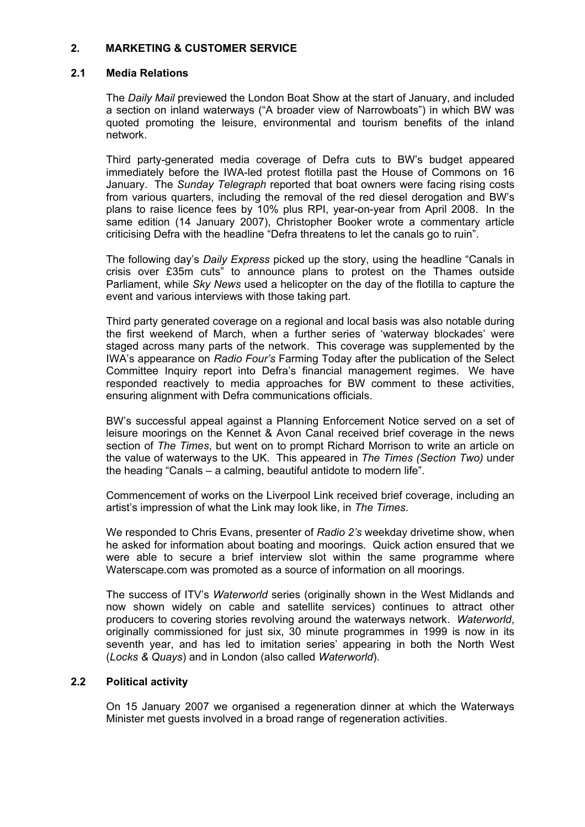# **2. MARKETING & CUSTOMER SERVICE**

## **2.1 Media Relations**

 The *Daily Mail* previewed the London Boat Show at the start of January, and included a section on inland waterways ("A broader view of Narrowboats") in which BW was quoted promoting the leisure, environmental and tourism benefits of the inland network.

 Third party-generated media coverage of Defra cuts to BW's budget appeared immediately before the IWA-led protest flotilla past the House of Commons on 16 January. The *Sunday Telegraph* reported that boat owners were facing rising costs from various quarters, including the removal of the red diesel derogation and BW's plans to raise licence fees by 10% plus RPI, year-on-year from April 2008. In the same edition (14 January 2007), Christopher Booker wrote a commentary article criticising Defra with the headline "Defra threatens to let the canals go to ruin".

 The following day's *Daily Express* picked up the story, using the headline "Canals in crisis over £35m cuts" to announce plans to protest on the Thames outside Parliament, while *Sky News* used a helicopter on the day of the flotilla to capture the event and various interviews with those taking part.

 Third party generated coverage on a regional and local basis was also notable during the first weekend of March, when a further series of 'waterway blockades' were staged across many parts of the network. This coverage was supplemented by the IWA's appearance on *Radio Four's* Farming Today after the publication of the Select Committee Inquiry report into Defra's financial management regimes. We have responded reactively to media approaches for BW comment to these activities, ensuring alignment with Defra communications officials.

 BW's successful appeal against a Planning Enforcement Notice served on a set of leisure moorings on the Kennet & Avon Canal received brief coverage in the news section of *The Times*, but went on to prompt Richard Morrison to write an article on the value of waterways to the UK. This appeared in *The Times (Section Two)* under the heading "Canals – a calming, beautiful antidote to modern life".

 Commencement of works on the Liverpool Link received brief coverage, including an artist's impression of what the Link may look like, in *The Times*.

 We responded to Chris Evans, presenter of *Radio 2's* weekday drivetime show, when he asked for information about boating and moorings. Quick action ensured that we were able to secure a brief interview slot within the same programme where Waterscape.com was promoted as a source of information on all moorings.

 The success of ITV's *Waterworld* series (originally shown in the West Midlands and now shown widely on cable and satellite services) continues to attract other producers to covering stories revolving around the waterways network. *Waterworld*, originally commissioned for just six, 30 minute programmes in 1999 is now in its seventh year, and has led to imitation series' appearing in both the North West (*Locks & Quays*) and in London (also called *Waterworld*).

# **2.2 Political activity**

 On 15 January 2007 we organised a regeneration dinner at which the Waterways Minister met guests involved in a broad range of regeneration activities.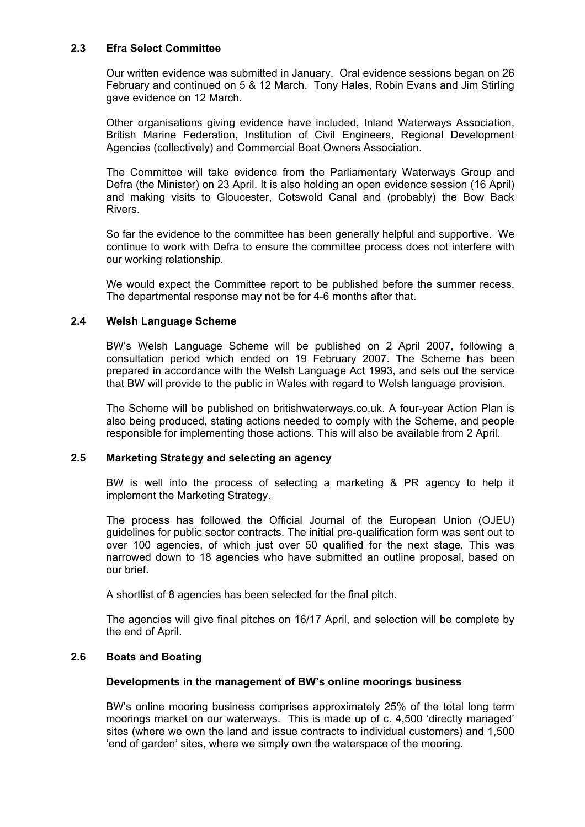# **2.3 Efra Select Committee**

 Our written evidence was submitted in January. Oral evidence sessions began on 26 February and continued on 5 & 12 March. Tony Hales, Robin Evans and Jim Stirling gave evidence on 12 March.

 Other organisations giving evidence have included, Inland Waterways Association, British Marine Federation, Institution of Civil Engineers, Regional Development Agencies (collectively) and Commercial Boat Owners Association.

 The Committee will take evidence from the Parliamentary Waterways Group and Defra (the Minister) on 23 April. It is also holding an open evidence session (16 April) and making visits to Gloucester, Cotswold Canal and (probably) the Bow Back Rivers.

 So far the evidence to the committee has been generally helpful and supportive. We continue to work with Defra to ensure the committee process does not interfere with our working relationship.

 We would expect the Committee report to be published before the summer recess. The departmental response may not be for 4-6 months after that.

#### **2.4 Welsh Language Scheme**

 BW's Welsh Language Scheme will be published on 2 April 2007, following a consultation period which ended on 19 February 2007. The Scheme has been prepared in accordance with the Welsh Language Act 1993, and sets out the service that BW will provide to the public in Wales with regard to Welsh language provision.

 The Scheme will be published on britishwaterways.co.uk. A four-year Action Plan is also being produced, stating actions needed to comply with the Scheme, and people responsible for implementing those actions. This will also be available from 2 April.

# **2.5 Marketing Strategy and selecting an agency**

 BW is well into the process of selecting a marketing & PR agency to help it implement the Marketing Strategy.

 The process has followed the Official Journal of the European Union (OJEU) guidelines for public sector contracts. The initial pre-qualification form was sent out to over 100 agencies, of which just over 50 qualified for the next stage. This was narrowed down to 18 agencies who have submitted an outline proposal, based on our brief.

A shortlist of 8 agencies has been selected for the final pitch.

 The agencies will give final pitches on 16/17 April, and selection will be complete by the end of April.

# **2.6 Boats and Boating**

#### **Developments in the management of BW's online moorings business**

 BW's online mooring business comprises approximately 25% of the total long term moorings market on our waterways. This is made up of c. 4,500 'directly managed' sites (where we own the land and issue contracts to individual customers) and 1,500 'end of garden' sites, where we simply own the waterspace of the mooring.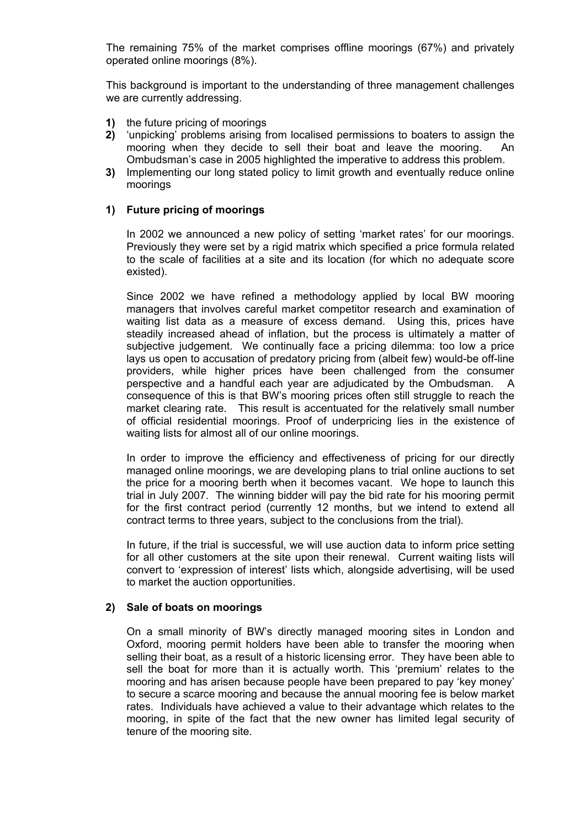The remaining 75% of the market comprises offline moorings (67%) and privately operated online moorings (8%).

 This background is important to the understanding of three management challenges we are currently addressing.

- **1)** the future pricing of moorings
- **2)** 'unpicking' problems arising from localised permissions to boaters to assign the mooring when they decide to sell their boat and leave the mooring. An Ombudsman's case in 2005 highlighted the imperative to address this problem.
- **3)** Implementing our long stated policy to limit growth and eventually reduce online moorings

#### **1) Future pricing of moorings**

In 2002 we announced a new policy of setting 'market rates' for our moorings. Previously they were set by a rigid matrix which specified a price formula related to the scale of facilities at a site and its location (for which no adequate score existed).

Since 2002 we have refined a methodology applied by local BW mooring managers that involves careful market competitor research and examination of waiting list data as a measure of excess demand. Using this, prices have steadily increased ahead of inflation, but the process is ultimately a matter of subjective judgement. We continually face a pricing dilemma: too low a price lays us open to accusation of predatory pricing from (albeit few) would-be off-line providers, while higher prices have been challenged from the consumer perspective and a handful each year are adjudicated by the Ombudsman. A consequence of this is that BW's mooring prices often still struggle to reach the market clearing rate. This result is accentuated for the relatively small number of official residential moorings. Proof of underpricing lies in the existence of waiting lists for almost all of our online moorings.

In order to improve the efficiency and effectiveness of pricing for our directly managed online moorings, we are developing plans to trial online auctions to set the price for a mooring berth when it becomes vacant. We hope to launch this trial in July 2007. The winning bidder will pay the bid rate for his mooring permit for the first contract period (currently 12 months, but we intend to extend all contract terms to three years, subject to the conclusions from the trial).

In future, if the trial is successful, we will use auction data to inform price setting for all other customers at the site upon their renewal. Current waiting lists will convert to 'expression of interest' lists which, alongside advertising, will be used to market the auction opportunities.

#### **2) Sale of boats on moorings**

On a small minority of BW's directly managed mooring sites in London and Oxford, mooring permit holders have been able to transfer the mooring when selling their boat, as a result of a historic licensing error. They have been able to sell the boat for more than it is actually worth. This 'premium' relates to the mooring and has arisen because people have been prepared to pay 'key money' to secure a scarce mooring and because the annual mooring fee is below market rates. Individuals have achieved a value to their advantage which relates to the mooring, in spite of the fact that the new owner has limited legal security of tenure of the mooring site.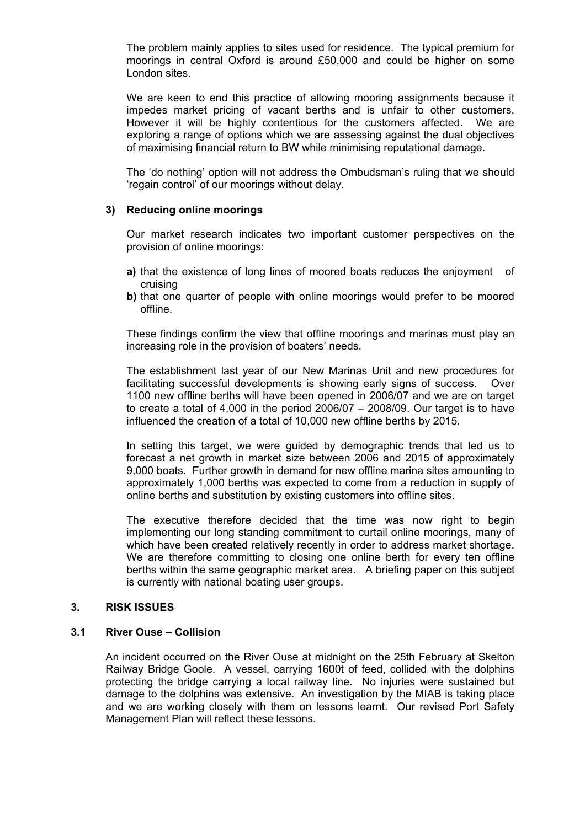The problem mainly applies to sites used for residence. The typical premium for moorings in central Oxford is around £50,000 and could be higher on some London sites.

We are keen to end this practice of allowing mooring assignments because it impedes market pricing of vacant berths and is unfair to other customers. However it will be highly contentious for the customers affected. We are exploring a range of options which we are assessing against the dual objectives of maximising financial return to BW while minimising reputational damage.

The 'do nothing' option will not address the Ombudsman's ruling that we should 'regain control' of our moorings without delay.

#### **3) Reducing online moorings**

Our market research indicates two important customer perspectives on the provision of online moorings:

- **a)** that the existence of long lines of moored boats reduces the enjoyment of cruising
- **b)** that one quarter of people with online moorings would prefer to be moored offline.

These findings confirm the view that offline moorings and marinas must play an increasing role in the provision of boaters' needs.

The establishment last year of our New Marinas Unit and new procedures for facilitating successful developments is showing early signs of success. Over 1100 new offline berths will have been opened in 2006/07 and we are on target to create a total of 4,000 in the period  $2006/07 - 2008/09$ . Our target is to have influenced the creation of a total of 10,000 new offline berths by 2015.

In setting this target, we were guided by demographic trends that led us to forecast a net growth in market size between 2006 and 2015 of approximately 9,000 boats. Further growth in demand for new offline marina sites amounting to approximately 1,000 berths was expected to come from a reduction in supply of online berths and substitution by existing customers into offline sites.

The executive therefore decided that the time was now right to begin implementing our long standing commitment to curtail online moorings, many of which have been created relatively recently in order to address market shortage. We are therefore committing to closing one online berth for every ten offline berths within the same geographic market area. A briefing paper on this subject is currently with national boating user groups.

#### **3. RISK ISSUES**

#### **3.1 River Ouse – Collision**

 An incident occurred on the River Ouse at midnight on the 25th February at Skelton Railway Bridge Goole. A vessel, carrying 1600t of feed, collided with the dolphins protecting the bridge carrying a local railway line. No injuries were sustained but damage to the dolphins was extensive. An investigation by the MIAB is taking place and we are working closely with them on lessons learnt. Our revised Port Safety Management Plan will reflect these lessons.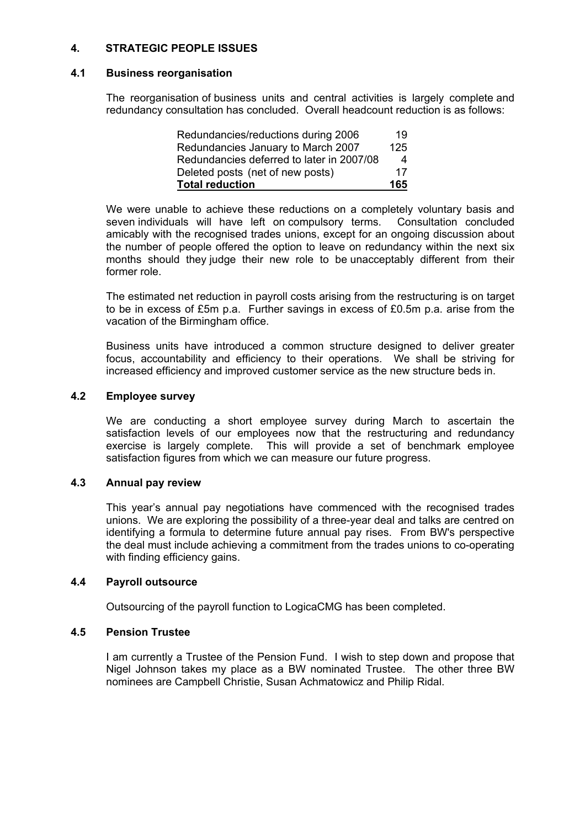# **4. STRATEGIC PEOPLE ISSUES**

# **4.1 Business reorganisation**

 The reorganisation of business units and central activities is largely complete and redundancy consultation has concluded. Overall headcount reduction is as follows:

| <b>Total reduction</b>                    | 165          |
|-------------------------------------------|--------------|
| Deleted posts (net of new posts)          | 17           |
| Redundancies deferred to later in 2007/08 | $\mathbf{A}$ |
| Redundancies January to March 2007        | 125          |
| Redundancies/reductions during 2006       | 19           |

 We were unable to achieve these reductions on a completely voluntary basis and seven individuals will have left on compulsory terms. Consultation concluded amicably with the recognised trades unions, except for an ongoing discussion about the number of people offered the option to leave on redundancy within the next six months should they judge their new role to be unacceptably different from their former role.

 The estimated net reduction in payroll costs arising from the restructuring is on target to be in excess of £5m p.a. Further savings in excess of £0.5m p.a. arise from the vacation of the Birmingham office.

 Business units have introduced a common structure designed to deliver greater focus, accountability and efficiency to their operations. We shall be striving for increased efficiency and improved customer service as the new structure beds in.

#### **4.2 Employee survey**

 We are conducting a short employee survey during March to ascertain the satisfaction levels of our employees now that the restructuring and redundancy exercise is largely complete. This will provide a set of benchmark employee satisfaction figures from which we can measure our future progress.

# **4.3 Annual pay review**

 This year's annual pay negotiations have commenced with the recognised trades unions. We are exploring the possibility of a three-year deal and talks are centred on identifying a formula to determine future annual pay rises. From BW's perspective the deal must include achieving a commitment from the trades unions to co-operating with finding efficiency gains.

#### **4.4 Payroll outsource**

Outsourcing of the payroll function to LogicaCMG has been completed.

#### **4.5 Pension Trustee**

 I am currently a Trustee of the Pension Fund. I wish to step down and propose that Nigel Johnson takes my place as a BW nominated Trustee. The other three BW nominees are Campbell Christie, Susan Achmatowicz and Philip Ridal.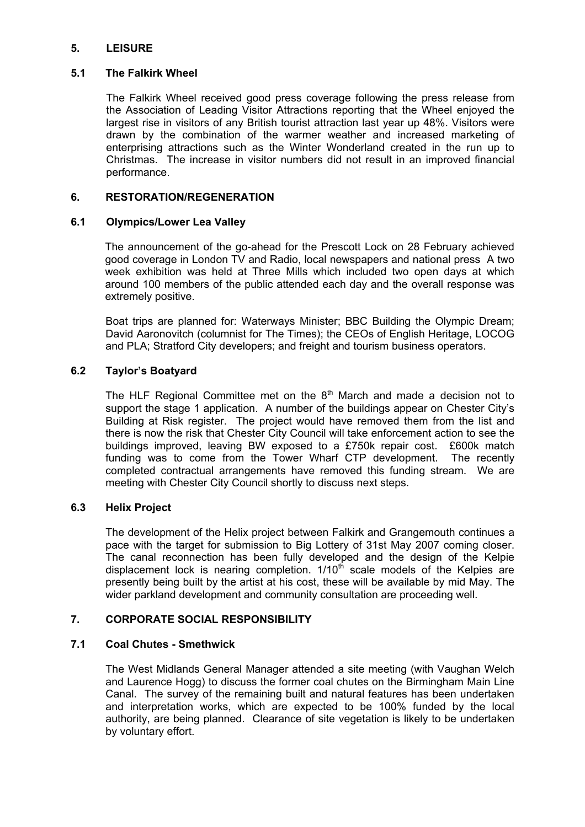# **5. LEISURE**

## **5.1 The Falkirk Wheel**

 The Falkirk Wheel received good press coverage following the press release from the Association of Leading Visitor Attractions reporting that the Wheel enjoyed the largest rise in visitors of any British tourist attraction last year up 48%. Visitors were drawn by the combination of the warmer weather and increased marketing of enterprising attractions such as the Winter Wonderland created in the run up to Christmas. The increase in visitor numbers did not result in an improved financial performance.

# **6. RESTORATION/REGENERATION**

# **6.1 Olympics/Lower Lea Valley**

The announcement of the go-ahead for the Prescott Lock on 28 February achieved good coverage in London TV and Radio, local newspapers and national press A two week exhibition was held at Three Mills which included two open days at which around 100 members of the public attended each day and the overall response was extremely positive.

 Boat trips are planned for: Waterways Minister; BBC Building the Olympic Dream; David Aaronovitch (columnist for The Times); the CEOs of English Heritage, LOCOG and PLA; Stratford City developers; and freight and tourism business operators.

# **6.2 Taylor's Boatyard**

The HLF Regional Committee met on the  $8<sup>th</sup>$  March and made a decision not to support the stage 1 application. A number of the buildings appear on Chester City's Building at Risk register. The project would have removed them from the list and there is now the risk that Chester City Council will take enforcement action to see the buildings improved, leaving BW exposed to a £750k repair cost. £600k match funding was to come from the Tower Wharf CTP development. The recently completed contractual arrangements have removed this funding stream. We are meeting with Chester City Council shortly to discuss next steps.

# **6.3 Helix Project**

 The development of the Helix project between Falkirk and Grangemouth continues a pace with the target for submission to Big Lottery of 31st May 2007 coming closer. The canal reconnection has been fully developed and the design of the Kelpie displacement lock is nearing completion.  $1/10^{th}$  scale models of the Kelpies are presently being built by the artist at his cost, these will be available by mid May. The wider parkland development and community consultation are proceeding well.

# **7. CORPORATE SOCIAL RESPONSIBILITY**

# **7.1 Coal Chutes - Smethwick**

 The West Midlands General Manager attended a site meeting (with Vaughan Welch and Laurence Hogg) to discuss the former coal chutes on the Birmingham Main Line Canal. The survey of the remaining built and natural features has been undertaken and interpretation works, which are expected to be 100% funded by the local authority, are being planned. Clearance of site vegetation is likely to be undertaken by voluntary effort.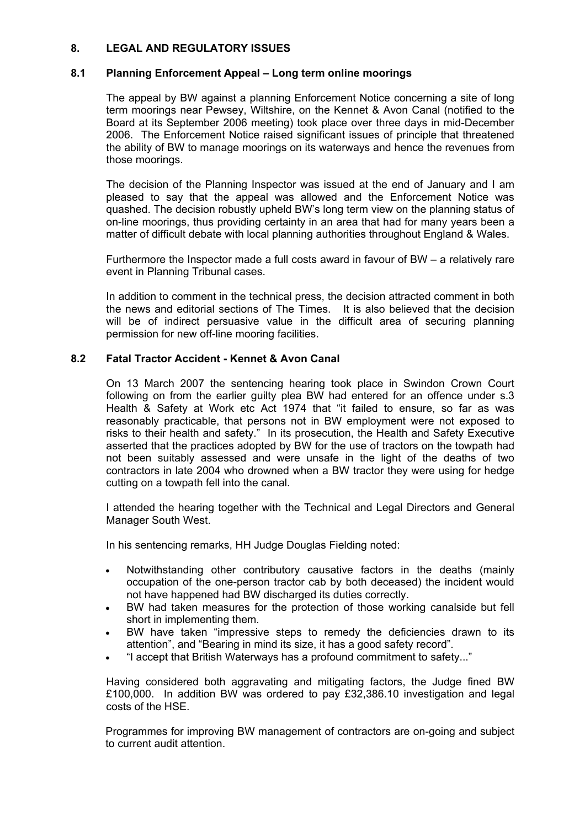# **8. LEGAL AND REGULATORY ISSUES**

# **8.1 Planning Enforcement Appeal – Long term online moorings**

 The appeal by BW against a planning Enforcement Notice concerning a site of long term moorings near Pewsey, Wiltshire, on the Kennet & Avon Canal (notified to the Board at its September 2006 meeting) took place over three days in mid-December 2006. The Enforcement Notice raised significant issues of principle that threatened the ability of BW to manage moorings on its waterways and hence the revenues from those moorings.

 The decision of the Planning Inspector was issued at the end of January and I am pleased to say that the appeal was allowed and the Enforcement Notice was quashed. The decision robustly upheld BW's long term view on the planning status of on-line moorings, thus providing certainty in an area that had for many years been a matter of difficult debate with local planning authorities throughout England & Wales.

 Furthermore the Inspector made a full costs award in favour of BW – a relatively rare event in Planning Tribunal cases.

 In addition to comment in the technical press, the decision attracted comment in both the news and editorial sections of The Times. It is also believed that the decision will be of indirect persuasive value in the difficult area of securing planning permission for new off-line mooring facilities.

# **8.2 Fatal Tractor Accident - Kennet & Avon Canal**

 On 13 March 2007 the sentencing hearing took place in Swindon Crown Court following on from the earlier guilty plea BW had entered for an offence under s.3 Health & Safety at Work etc Act 1974 that "it failed to ensure, so far as was reasonably practicable, that persons not in BW employment were not exposed to risks to their health and safety." In its prosecution, the Health and Safety Executive asserted that the practices adopted by BW for the use of tractors on the towpath had not been suitably assessed and were unsafe in the light of the deaths of two contractors in late 2004 who drowned when a BW tractor they were using for hedge cutting on a towpath fell into the canal.

 I attended the hearing together with the Technical and Legal Directors and General Manager South West.

In his sentencing remarks, HH Judge Douglas Fielding noted:

- Notwithstanding other contributory causative factors in the deaths (mainly occupation of the one-person tractor cab by both deceased) the incident would not have happened had BW discharged its duties correctly.
- BW had taken measures for the protection of those working canalside but fell short in implementing them.
- BW have taken "impressive steps to remedy the deficiencies drawn to its attention", and "Bearing in mind its size, it has a good safety record".
- "I accept that British Waterways has a profound commitment to safety..."

 Having considered both aggravating and mitigating factors, the Judge fined BW £100,000. In addition BW was ordered to pay £32,386.10 investigation and legal costs of the HSE.

 Programmes for improving BW management of contractors are on-going and subject to current audit attention.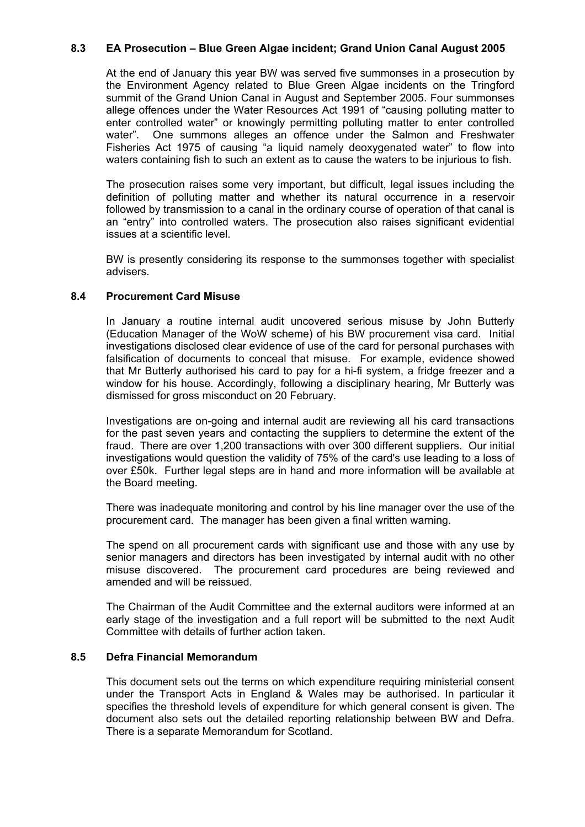# **8.3 EA Prosecution – Blue Green Algae incident; Grand Union Canal August 2005**

 At the end of January this year BW was served five summonses in a prosecution by the Environment Agency related to Blue Green Algae incidents on the Tringford summit of the Grand Union Canal in August and September 2005. Four summonses allege offences under the Water Resources Act 1991 of "causing polluting matter to enter controlled water" or knowingly permitting polluting matter to enter controlled water". One summons alleges an offence under the Salmon and Freshwater Fisheries Act 1975 of causing "a liquid namely deoxygenated water" to flow into waters containing fish to such an extent as to cause the waters to be injurious to fish.

 The prosecution raises some very important, but difficult, legal issues including the definition of polluting matter and whether its natural occurrence in a reservoir followed by transmission to a canal in the ordinary course of operation of that canal is an "entry" into controlled waters. The prosecution also raises significant evidential issues at a scientific level.

 BW is presently considering its response to the summonses together with specialist advisers.

#### **8.4 Procurement Card Misuse**

 In January a routine internal audit uncovered serious misuse by John Butterly (Education Manager of the WoW scheme) of his BW procurement visa card. Initial investigations disclosed clear evidence of use of the card for personal purchases with falsification of documents to conceal that misuse. For example, evidence showed that Mr Butterly authorised his card to pay for a hi-fi system, a fridge freezer and a window for his house. Accordingly, following a disciplinary hearing, Mr Butterly was dismissed for gross misconduct on 20 February.

 Investigations are on-going and internal audit are reviewing all his card transactions for the past seven years and contacting the suppliers to determine the extent of the fraud. There are over 1,200 transactions with over 300 different suppliers. Our initial investigations would question the validity of 75% of the card's use leading to a loss of over £50k. Further legal steps are in hand and more information will be available at the Board meeting.

 There was inadequate monitoring and control by his line manager over the use of the procurement card. The manager has been given a final written warning.

 The spend on all procurement cards with significant use and those with any use by senior managers and directors has been investigated by internal audit with no other misuse discovered. The procurement card procedures are being reviewed and amended and will be reissued.

 The Chairman of the Audit Committee and the external auditors were informed at an early stage of the investigation and a full report will be submitted to the next Audit Committee with details of further action taken.

#### **8.5 Defra Financial Memorandum**

 This document sets out the terms on which expenditure requiring ministerial consent under the Transport Acts in England & Wales may be authorised. In particular it specifies the threshold levels of expenditure for which general consent is given. The document also sets out the detailed reporting relationship between BW and Defra. There is a separate Memorandum for Scotland.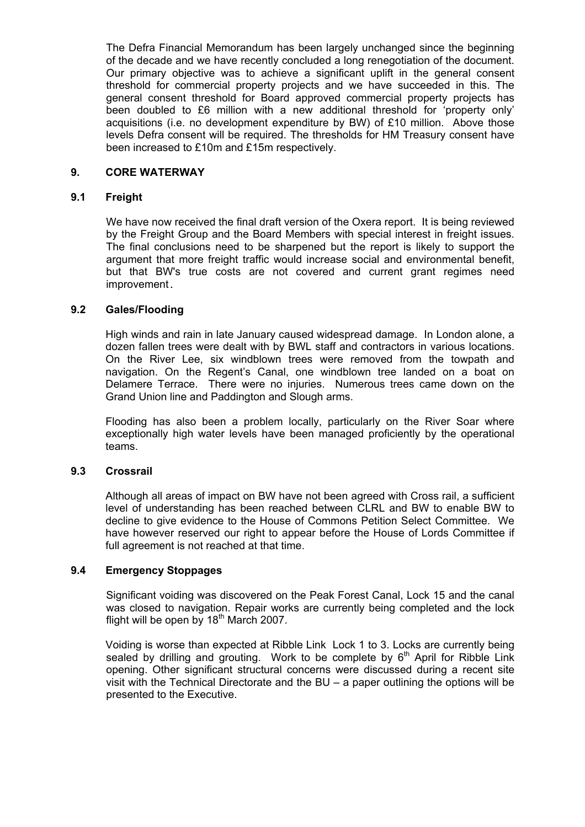The Defra Financial Memorandum has been largely unchanged since the beginning of the decade and we have recently concluded a long renegotiation of the document. Our primary objective was to achieve a significant uplift in the general consent threshold for commercial property projects and we have succeeded in this. The general consent threshold for Board approved commercial property projects has been doubled to £6 million with a new additional threshold for 'property only' acquisitions (i.e. no development expenditure by BW) of £10 million. Above those levels Defra consent will be required. The thresholds for HM Treasury consent have been increased to £10m and £15m respectively.

## **9. CORE WATERWAY**

#### **9.1 Freight**

 We have now received the final draft version of the Oxera report. It is being reviewed by the Freight Group and the Board Members with special interest in freight issues. The final conclusions need to be sharpened but the report is likely to support the argument that more freight traffic would increase social and environmental benefit, but that BW's true costs are not covered and current grant regimes need improvement.

#### **9.2 Gales/Flooding**

 High winds and rain in late January caused widespread damage. In London alone, a dozen fallen trees were dealt with by BWL staff and contractors in various locations. On the River Lee, six windblown trees were removed from the towpath and navigation. On the Regent's Canal, one windblown tree landed on a boat on Delamere Terrace. There were no injuries. Numerous trees came down on the Grand Union line and Paddington and Slough arms.

 Flooding has also been a problem locally, particularly on the River Soar where exceptionally high water levels have been managed proficiently by the operational teams.

#### **9.3 Crossrail**

 Although all areas of impact on BW have not been agreed with Cross rail, a sufficient level of understanding has been reached between CLRL and BW to enable BW to decline to give evidence to the House of Commons Petition Select Committee. We have however reserved our right to appear before the House of Lords Committee if full agreement is not reached at that time.

#### **9.4 Emergency Stoppages**

 Significant voiding was discovered on the Peak Forest Canal, Lock 15 and the canal was closed to navigation. Repair works are currently being completed and the lock flight will be open by  $18<sup>th</sup>$  March 2007.

 Voiding is worse than expected at Ribble Link Lock 1 to 3. Locks are currently being sealed by drilling and grouting. Work to be complete by  $6<sup>th</sup>$  April for Ribble Link opening. Other significant structural concerns were discussed during a recent site visit with the Technical Directorate and the BU – a paper outlining the options will be presented to the Executive.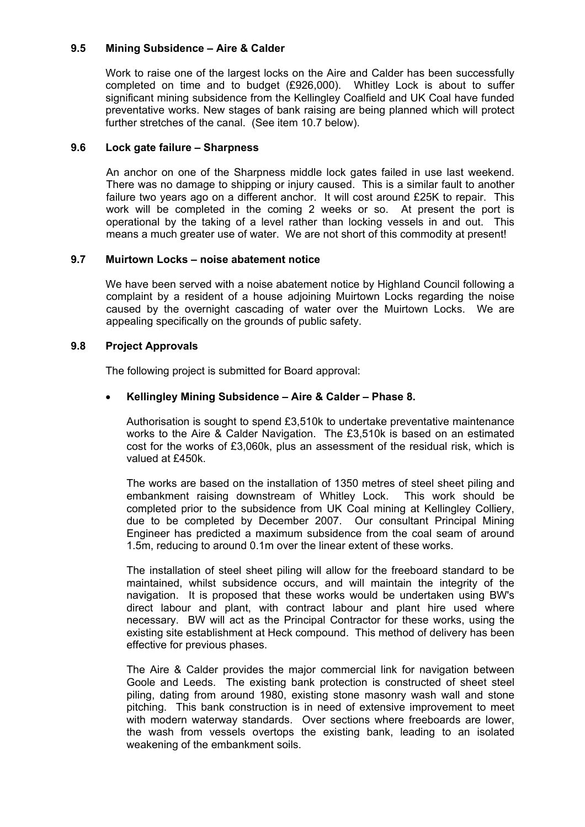# **9.5 Mining Subsidence – Aire & Calder**

 Work to raise one of the largest locks on the Aire and Calder has been successfully completed on time and to budget (£926,000). Whitley Lock is about to suffer significant mining subsidence from the Kellingley Coalfield and UK Coal have funded preventative works. New stages of bank raising are being planned which will protect further stretches of the canal. (See item 10.7 below).

## **9.6 Lock gate failure – Sharpness**

 An anchor on one of the Sharpness middle lock gates failed in use last weekend. There was no damage to shipping or injury caused. This is a similar fault to another failure two years ago on a different anchor. It will cost around £25K to repair. This work will be completed in the coming 2 weeks or so. At present the port is operational by the taking of a level rather than locking vessels in and out. This means a much greater use of water. We are not short of this commodity at present!

# **9.7 Muirtown Locks – noise abatement notice**

 We have been served with a noise abatement notice by Highland Council following a complaint by a resident of a house adjoining Muirtown Locks regarding the noise caused by the overnight cascading of water over the Muirtown Locks. We are appealing specifically on the grounds of public safety.

#### **9.8 Project Approvals**

The following project is submitted for Board approval:

# • **Kellingley Mining Subsidence – Aire & Calder – Phase 8.**

Authorisation is sought to spend £3,510k to undertake preventative maintenance works to the Aire & Calder Navigation. The £3,510k is based on an estimated cost for the works of £3,060k, plus an assessment of the residual risk, which is valued at £450k.

The works are based on the installation of 1350 metres of steel sheet piling and embankment raising downstream of Whitley Lock. This work should be completed prior to the subsidence from UK Coal mining at Kellingley Colliery, due to be completed by December 2007. Our consultant Principal Mining Engineer has predicted a maximum subsidence from the coal seam of around 1.5m, reducing to around 0.1m over the linear extent of these works.

The installation of steel sheet piling will allow for the freeboard standard to be maintained, whilst subsidence occurs, and will maintain the integrity of the navigation. It is proposed that these works would be undertaken using BW's direct labour and plant, with contract labour and plant hire used where necessary. BW will act as the Principal Contractor for these works, using the existing site establishment at Heck compound. This method of delivery has been effective for previous phases.

The Aire & Calder provides the major commercial link for navigation between Goole and Leeds. The existing bank protection is constructed of sheet steel piling, dating from around 1980, existing stone masonry wash wall and stone pitching. This bank construction is in need of extensive improvement to meet with modern waterway standards. Over sections where freeboards are lower, the wash from vessels overtops the existing bank, leading to an isolated weakening of the embankment soils.